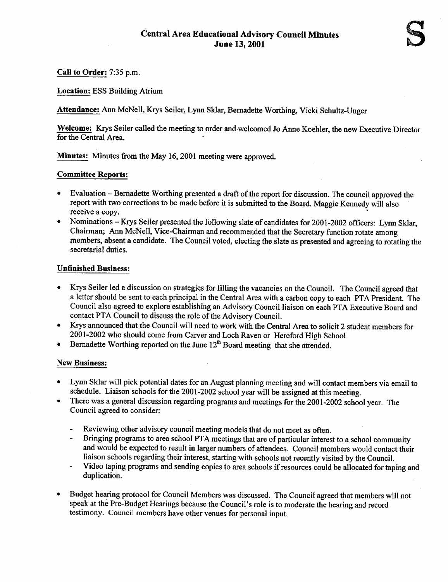Call to Order: 7:35 p.m.

Location: ESS Building Atrium

Attendance: Ann McNell, Krys Seiler, Lynn Sklar, Bernadette Worthing, Vicki Schultz-Unger

Welcome: Krys Seiler called the meeting to order and welcomed Jo Anne Koehler, the new Executive Director for the Central Area.

Minutes: Minutes from the May 16, 2001 meeting were approved.

## Committee Reports:

- Evaluation Bernadette Worthing presented a draft of the report for discussion. The council approved the report with two corrections to be made before it is submitted to the Board. Maggie Kennedy will also receive a copy.
- Nominations Krys Seiler presented the following slate of candidates for 2001-2002 officers: Lynn Sklar, Chairman; Ann McNell, Vice-Chairman and recommended that the Secretary function rotate among members, absent a candidate. The Council voted, electing the slate as presented and agreeing to rotating the secretarial duties .

# Unfinished Business :

- " Krys Seiler led a discussion on strategies for filling the vacancies on the Council. The Council agreed that a letter should be sent to each principal in the Central Area with a carbon copy to each PTA President. The Council also agreed to explore establishing an Advisory Council liaison on each PTA Executive Board and contact PTA Council to discuss the role of the Advisory Council.
- " Krys announced that the Council will need to work with the Central Area to solicit 2 student members for 2001-2002 who should come from Carver and Loch Raven or Hereford High School.
- $\bullet$  Bernadette Worthing reported on the June 12<sup>th</sup> Board meeting that she attended.

## New Business :

- <sup>+</sup> Lynn Sklar will pick potential dates for an August planning meeting and will contact members via email to schedule. Liaison schools for the 2001-2002 school year will be assigned at this meeting.
- There was a general discussion regarding programs and meetings for the 2001-2002 school year. The Council agreed to consider:
	- Reviewing other advisory council meeting models that do not meet as often.
	- $\mathbf{r}$ Bringing programs to area school PTA meetings that are of particular interest to a school community and would be expected to result in larger numbers of attendees. Council members would contact their liaison schools regarding their interest, starting with schools not recently visited by the Council.
	- Video taping programs and sending copies to area schools if resources could be allocated for taping and duplication.
- <sup>+</sup> Budget hearing protocol for Council Members was discussed. The Council agreed that members will not speak at the Pre-Budget Hearings because the Council's role is to moderate the hearing and record testimony. Council members have other venues for personal input.